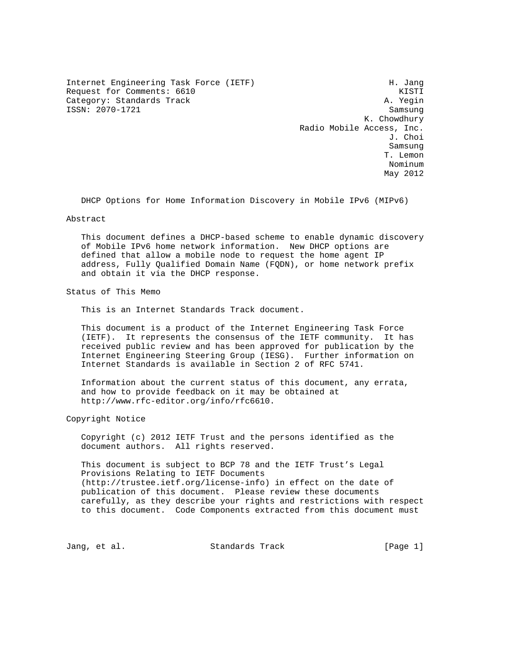Internet Engineering Task Force (IETF) H. Jang Request for Comments: 6610 KISTI Category: Standards Track A. Yegin ISSN: 2070-1721 Samsung

 K. Chowdhury Radio Mobile Access, Inc. J. Choi Samsung T. Lemon nominum anno 1992. Is anno 1992 ann an t-Iomrain ann an t-Iomrain ann an t-Iomrain ann an t-Iomrain ann an t-I May 2012

DHCP Options for Home Information Discovery in Mobile IPv6 (MIPv6)

Abstract

 This document defines a DHCP-based scheme to enable dynamic discovery of Mobile IPv6 home network information. New DHCP options are defined that allow a mobile node to request the home agent IP address, Fully Qualified Domain Name (FQDN), or home network prefix and obtain it via the DHCP response.

Status of This Memo

This is an Internet Standards Track document.

 This document is a product of the Internet Engineering Task Force (IETF). It represents the consensus of the IETF community. It has received public review and has been approved for publication by the Internet Engineering Steering Group (IESG). Further information on Internet Standards is available in Section 2 of RFC 5741.

 Information about the current status of this document, any errata, and how to provide feedback on it may be obtained at http://www.rfc-editor.org/info/rfc6610.

Copyright Notice

 Copyright (c) 2012 IETF Trust and the persons identified as the document authors. All rights reserved.

 This document is subject to BCP 78 and the IETF Trust's Legal Provisions Relating to IETF Documents (http://trustee.ietf.org/license-info) in effect on the date of publication of this document. Please review these documents carefully, as they describe your rights and restrictions with respect to this document. Code Components extracted from this document must

Jang, et al. Standards Track [Page 1]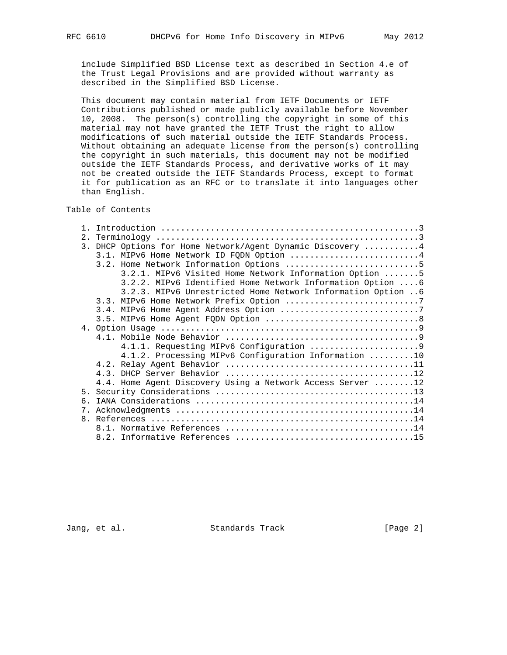include Simplified BSD License text as described in Section 4.e of the Trust Legal Provisions and are provided without warranty as described in the Simplified BSD License.

 This document may contain material from IETF Documents or IETF Contributions published or made publicly available before November 10, 2008. The person(s) controlling the copyright in some of this material may not have granted the IETF Trust the right to allow modifications of such material outside the IETF Standards Process. Without obtaining an adequate license from the person(s) controlling the copyright in such materials, this document may not be modified outside the IETF Standards Process, and derivative works of it may not be created outside the IETF Standards Process, except to format it for publication as an RFC or to translate it into languages other than English.

# Table of Contents

| 2.1                         |                                                             |
|-----------------------------|-------------------------------------------------------------|
|                             | 3. DHCP Options for Home Network/Agent Dynamic Discovery  4 |
|                             | 3.1. MIPv6 Home Network ID FODN Option 4                    |
|                             | 3.2. Home Network Information Options 5                     |
|                             | 3.2.1. MIPv6 Visited Home Network Information Option 5      |
|                             | 3.2.2. MIPv6 Identified Home Network Information Option 6   |
|                             | 3.2.3. MIPv6 Unrestricted Home Network Information Option 6 |
|                             |                                                             |
|                             |                                                             |
|                             |                                                             |
|                             |                                                             |
|                             |                                                             |
|                             |                                                             |
|                             | 4.1.2. Processing MIPv6 Configuration Information 10        |
|                             |                                                             |
|                             |                                                             |
|                             | 4.4. Home Agent Discovery Using a Network Access Server 12  |
|                             |                                                             |
| б.                          |                                                             |
| $7_{\scriptscriptstyle{1}}$ |                                                             |
|                             |                                                             |
|                             |                                                             |
|                             |                                                             |

Jang, et al. Standards Track [Page 2]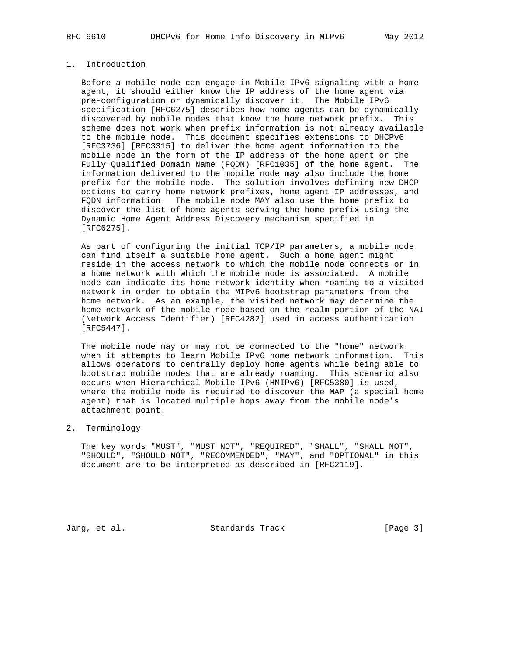## 1. Introduction

 Before a mobile node can engage in Mobile IPv6 signaling with a home agent, it should either know the IP address of the home agent via pre-configuration or dynamically discover it. The Mobile IPv6 specification [RFC6275] describes how home agents can be dynamically discovered by mobile nodes that know the home network prefix. This scheme does not work when prefix information is not already available to the mobile node. This document specifies extensions to DHCPv6 [RFC3736] [RFC3315] to deliver the home agent information to the mobile node in the form of the IP address of the home agent or the Fully Qualified Domain Name (FQDN) [RFC1035] of the home agent. The information delivered to the mobile node may also include the home prefix for the mobile node. The solution involves defining new DHCP options to carry home network prefixes, home agent IP addresses, and FQDN information. The mobile node MAY also use the home prefix to discover the list of home agents serving the home prefix using the Dynamic Home Agent Address Discovery mechanism specified in [RFC6275].

 As part of configuring the initial TCP/IP parameters, a mobile node can find itself a suitable home agent. Such a home agent might reside in the access network to which the mobile node connects or in a home network with which the mobile node is associated. A mobile node can indicate its home network identity when roaming to a visited network in order to obtain the MIPv6 bootstrap parameters from the home network. As an example, the visited network may determine the home network of the mobile node based on the realm portion of the NAI (Network Access Identifier) [RFC4282] used in access authentication [RFC5447].

 The mobile node may or may not be connected to the "home" network when it attempts to learn Mobile IPv6 home network information. This allows operators to centrally deploy home agents while being able to bootstrap mobile nodes that are already roaming. This scenario also occurs when Hierarchical Mobile IPv6 (HMIPv6) [RFC5380] is used, where the mobile node is required to discover the MAP (a special home agent) that is located multiple hops away from the mobile node's attachment point.

2. Terminology

 The key words "MUST", "MUST NOT", "REQUIRED", "SHALL", "SHALL NOT", "SHOULD", "SHOULD NOT", "RECOMMENDED", "MAY", and "OPTIONAL" in this document are to be interpreted as described in [RFC2119].

Jang, et al. Standards Track [Page 3]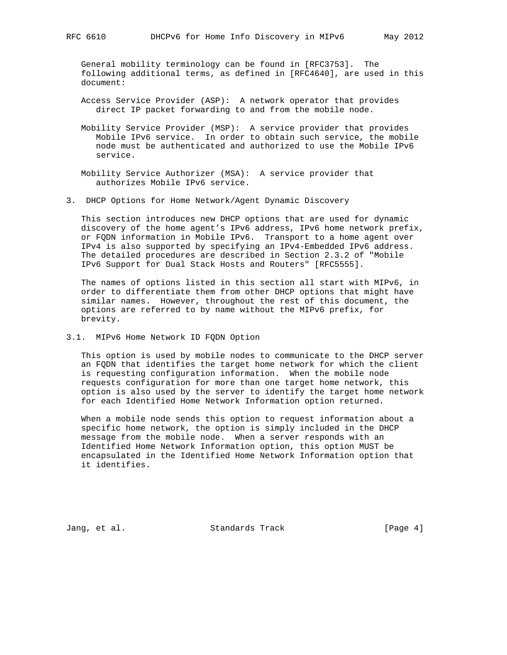General mobility terminology can be found in [RFC3753]. The following additional terms, as defined in [RFC4640], are used in this document:

- Access Service Provider (ASP): A network operator that provides direct IP packet forwarding to and from the mobile node.
- Mobility Service Provider (MSP): A service provider that provides Mobile IPv6 service. In order to obtain such service, the mobile node must be authenticated and authorized to use the Mobile IPv6 service.
- Mobility Service Authorizer (MSA): A service provider that authorizes Mobile IPv6 service.
- 3. DHCP Options for Home Network/Agent Dynamic Discovery

 This section introduces new DHCP options that are used for dynamic discovery of the home agent's IPv6 address, IPv6 home network prefix, or FQDN information in Mobile IPv6. Transport to a home agent over IPv4 is also supported by specifying an IPv4-Embedded IPv6 address. The detailed procedures are described in Section 2.3.2 of "Mobile IPv6 Support for Dual Stack Hosts and Routers" [RFC5555].

 The names of options listed in this section all start with MIPv6, in order to differentiate them from other DHCP options that might have similar names. However, throughout the rest of this document, the options are referred to by name without the MIPv6 prefix, for brevity.

3.1. MIPv6 Home Network ID FQDN Option

 This option is used by mobile nodes to communicate to the DHCP server an FQDN that identifies the target home network for which the client is requesting configuration information. When the mobile node requests configuration for more than one target home network, this option is also used by the server to identify the target home network for each Identified Home Network Information option returned.

 When a mobile node sends this option to request information about a specific home network, the option is simply included in the DHCP message from the mobile node. When a server responds with an Identified Home Network Information option, this option MUST be encapsulated in the Identified Home Network Information option that it identifies.

Jang, et al. Standards Track [Page 4]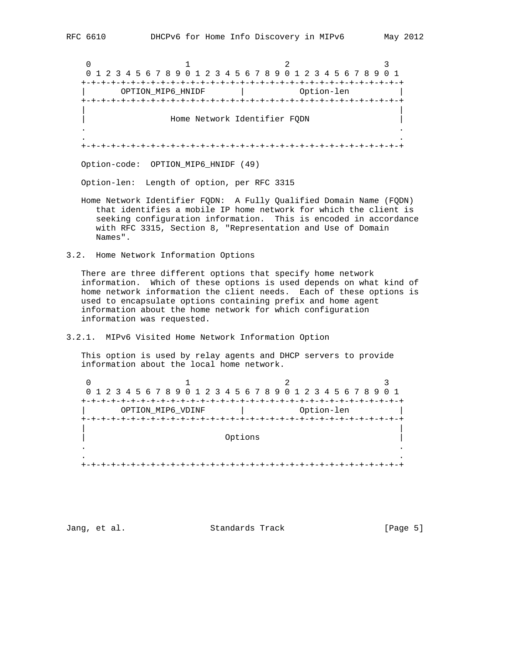0  $1$  2 3 0 1 2 3 4 5 6 7 8 9 0 1 2 3 4 5 6 7 8 9 0 1 2 3 4 5 6 7 8 9 0 1 +-+-+-+-+-+-+-+-+-+-+-+-+-+-+-+-+-+-+-+-+-+-+-+-+-+-+-+-+-+-+-+-+ | OPTION\_MIP6\_HNIDF | Option-len | +-+-+-+-+-+-+-+-+-+-+-+-+-+-+-+-+-+-+-+-+-+-+-+-+-+-+-+-+-+-+-+-+ | | | Home Network Identifier FQDN | . . . . +-+-+-+-+-+-+-+-+-+-+-+-+-+-+-+-+-+-+-+-+-+-+-+-+-+-+-+-+-+-+-+-+ Option-code: OPTION\_MIP6\_HNIDF (49)

Option-len: Length of option, per RFC 3315

- Home Network Identifier FQDN: A Fully Qualified Domain Name (FQDN) that identifies a mobile IP home network for which the client is seeking configuration information. This is encoded in accordance with RFC 3315, Section 8, "Representation and Use of Domain Names".
- 3.2. Home Network Information Options

 There are three different options that specify home network information. Which of these options is used depends on what kind of home network information the client needs. Each of these options is used to encapsulate options containing prefix and home agent information about the home network for which configuration information was requested.

3.2.1. MIPv6 Visited Home Network Information Option

 This option is used by relay agents and DHCP servers to provide information about the local home network.

0  $1$  2 3 0 1 2 3 4 5 6 7 8 9 0 1 2 3 4 5 6 7 8 9 0 1 2 3 4 5 6 7 8 9 0 1 +-+-+-+-+-+-+-+-+-+-+-+-+-+-+-+-+-+-+-+-+-+-+-+-+-+-+-+-+-+-+-+-+ OPTION\_MIP6\_VDINF | Option-len +-+-+-+-+-+-+-+-+-+-+-+-+-+-+-+-+-+-+-+-+-+-+-+-+-+-+-+-+-+-+-+-+ | | | Options | . . . . +-+-+-+-+-+-+-+-+-+-+-+-+-+-+-+-+-+-+-+-+-+-+-+-+-+-+-+-+-+-+-+-+

Jang, et al. Standards Track [Page 5]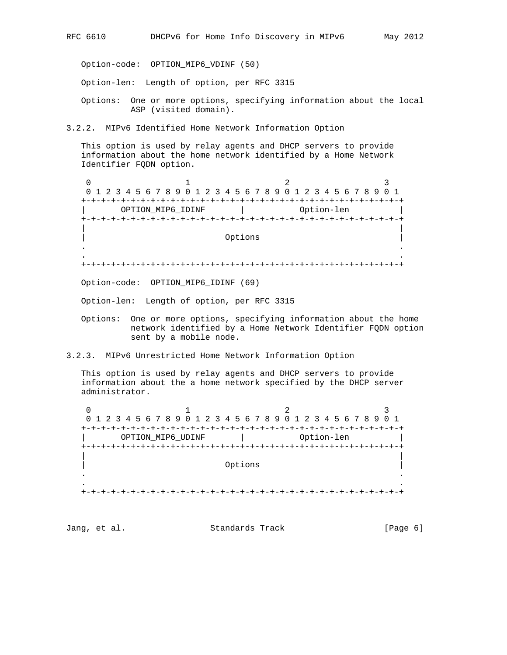Option-code: OPTION\_MIP6\_VDINF (50)

Option-len: Length of option, per RFC 3315

 Options: One or more options, specifying information about the local ASP (visited domain).

3.2.2. MIPv6 Identified Home Network Information Option

 This option is used by relay agents and DHCP servers to provide information about the home network identified by a Home Network Identifier FQDN option.

0  $1$  2 3 0 1 2 3 4 5 6 7 8 9 0 1 2 3 4 5 6 7 8 9 0 1 2 3 4 5 6 7 8 9 0 1 +-+-+-+-+-+-+-+-+-+-+-+-+-+-+-+-+-+-+-+-+-+-+-+-+-+-+-+-+-+-+-+-+ | OPTION\_MIP6\_IDINF | Option-len | +-+-+-+-+-+-+-+-+-+-+-+-+-+-+-+-+-+-+-+-+-+-+-+-+-+-+-+-+-+-+-+-+ | | | Options | . . . . +-+-+-+-+-+-+-+-+-+-+-+-+-+-+-+-+-+-+-+-+-+-+-+-+-+-+-+-+-+-+-+-+

Option-code: OPTION\_MIP6\_IDINF (69)

Option-len: Length of option, per RFC 3315

- Options: One or more options, specifying information about the home network identified by a Home Network Identifier FQDN option sent by a mobile node.
- 3.2.3. MIPv6 Unrestricted Home Network Information Option

 This option is used by relay agents and DHCP servers to provide information about the a home network specified by the DHCP server administrator.

0  $1$  2 3 0 1 2 3 4 5 6 7 8 9 0 1 2 3 4 5 6 7 8 9 0 1 2 3 4 5 6 7 8 9 0 1 +-+-+-+-+-+-+-+-+-+-+-+-+-+-+-+-+-+-+-+-+-+-+-+-+-+-+-+-+-+-+-+-+ OPTION\_MIP6\_UDINF | Option-len +-+-+-+-+-+-+-+-+-+-+-+-+-+-+-+-+-+-+-+-+-+-+-+-+-+-+-+-+-+-+-+-+ | | | Options | . . . . +-+-+-+-+-+-+-+-+-+-+-+-+-+-+-+-+-+-+-+-+-+-+-+-+-+-+-+-+-+-+-+-+

Jang, et al. Standards Track [Page 6]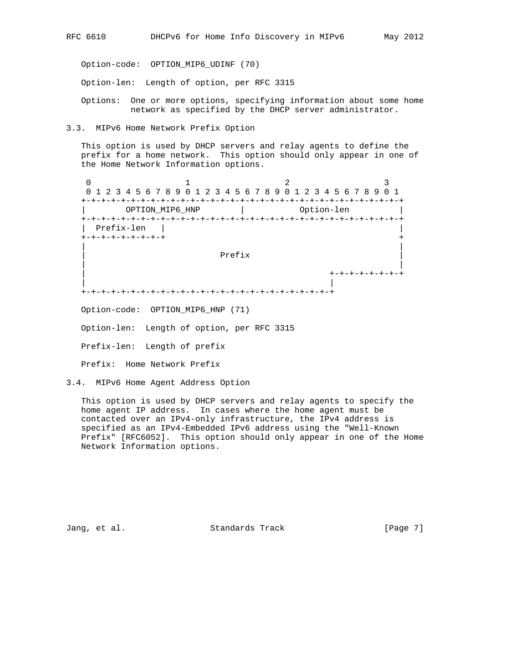Option-code: OPTION\_MIP6\_UDINF (70)

Option-len: Length of option, per RFC 3315

 Options: One or more options, specifying information about some home network as specified by the DHCP server administrator.

3.3. MIPv6 Home Network Prefix Option

 This option is used by DHCP servers and relay agents to define the prefix for a home network. This option should only appear in one of the Home Network Information options.

0  $1$  2 3 0 1 2 3 4 5 6 7 8 9 0 1 2 3 4 5 6 7 8 9 0 1 2 3 4 5 6 7 8 9 0 1 +-+-+-+-+-+-+-+-+-+-+-+-+-+-+-+-+-+-+-+-+-+-+-+-+-+-+-+-+-+-+-+-+ | OPTION\_MIP6\_HNP | Option-len +-+-+-+-+-+-+-+-+-+-+-+-+-+-+-+-+-+-+-+-+-+-+-+-+-+-+-+-+-+-+-+-+ | Prefix-len | | +-+-+-+-+-+-+-+-+ + | | | Prefix | | | | +-+-+-+-+-+-+-+ | | +-+-+-+-+-+-+-+-+-+-+-+-+-+-+-+-+-+-+-+-+-+-+-+-+-+ Option-code: OPTION\_MIP6\_HNP (71)

Option-len: Length of option, per RFC 3315

Prefix-len: Length of prefix

Prefix: Home Network Prefix

3.4. MIPv6 Home Agent Address Option

 This option is used by DHCP servers and relay agents to specify the home agent IP address. In cases where the home agent must be contacted over an IPv4-only infrastructure, the IPv4 address is specified as an IPv4-Embedded IPv6 address using the "Well-Known Prefix" [RFC6052]. This option should only appear in one of the Home Network Information options.

Jang, et al. Standards Track Frack [Page 7]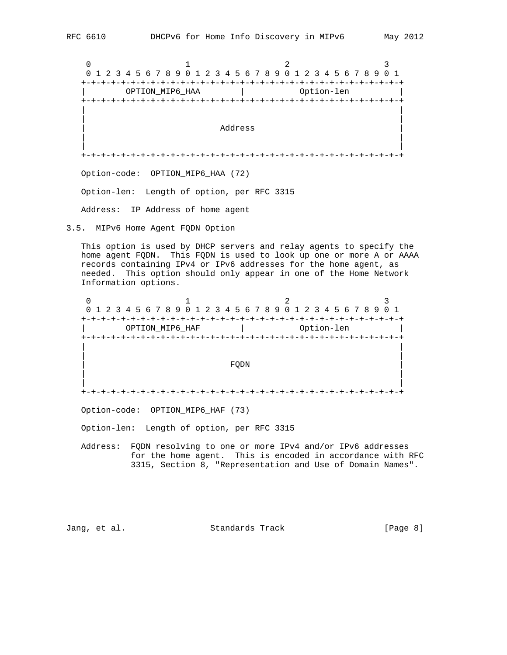0  $1$  2 3 0 1 2 3 4 5 6 7 8 9 0 1 2 3 4 5 6 7 8 9 0 1 2 3 4 5 6 7 8 9 0 1 +-+-+-+-+-+-+-+-+-+-+-+-+-+-+-+-+-+-+-+-+-+-+-+-+-+-+-+-+-+-+-+-+ | OPTION\_MIP6\_HAA | Option-len | +-+-+-+-+-+-+-+-+-+-+-+-+-+-+-+-+-+-+-+-+-+-+-+-+-+-+-+-+-+-+-+-+ | | | | | Address | American International Section 1991 | Address | Address | American International International International International International International International International International International Int | | | | +-+-+-+-+-+-+-+-+-+-+-+-+-+-+-+-+-+-+-+-+-+-+-+-+-+-+-+-+-+-+-+-+ Option-code: OPTION\_MIP6\_HAA (72) Option-len: Length of option, per RFC 3315

Address: IP Address of home agent

3.5. MIPv6 Home Agent FQDN Option

 This option is used by DHCP servers and relay agents to specify the home agent FQDN. This FQDN is used to look up one or more A or AAAA records containing IPv4 or IPv6 addresses for the home agent, as needed. This option should only appear in one of the Home Network Information options.

0  $1$  2 3 0 1 2 3 4 5 6 7 8 9 0 1 2 3 4 5 6 7 8 9 0 1 2 3 4 5 6 7 8 9 0 1 +-+-+-+-+-+-+-+-+-+-+-+-+-+-+-+-+-+-+-+-+-+-+-+-+-+-+-+-+-+-+-+-+ | OPTION\_MIP6\_HAF | Option-len | +-+-+-+-+-+-+-+-+-+-+-+-+-+-+-+-+-+-+-+-+-+-+-+-+-+-+-+-+-+-+-+-+ | | | | | FQDN | | | | | +-+-+-+-+-+-+-+-+-+-+-+-+-+-+-+-+-+-+-+-+-+-+-+-+-+-+-+-+-+-+-+-+

Option-code: OPTION\_MIP6\_HAF (73)

Option-len: Length of option, per RFC 3315

 Address: FQDN resolving to one or more IPv4 and/or IPv6 addresses for the home agent. This is encoded in accordance with RFC 3315, Section 8, "Representation and Use of Domain Names".

Jang, et al. Standards Track [Page 8]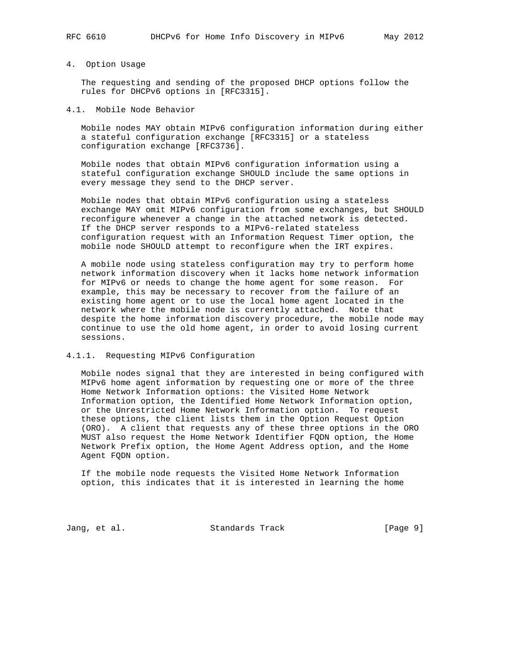### 4. Option Usage

 The requesting and sending of the proposed DHCP options follow the rules for DHCPv6 options in [RFC3315].

## 4.1. Mobile Node Behavior

 Mobile nodes MAY obtain MIPv6 configuration information during either a stateful configuration exchange [RFC3315] or a stateless configuration exchange [RFC3736].

 Mobile nodes that obtain MIPv6 configuration information using a stateful configuration exchange SHOULD include the same options in every message they send to the DHCP server.

 Mobile nodes that obtain MIPv6 configuration using a stateless exchange MAY omit MIPv6 configuration from some exchanges, but SHOULD reconfigure whenever a change in the attached network is detected. If the DHCP server responds to a MIPv6-related stateless configuration request with an Information Request Timer option, the mobile node SHOULD attempt to reconfigure when the IRT expires.

 A mobile node using stateless configuration may try to perform home network information discovery when it lacks home network information for MIPv6 or needs to change the home agent for some reason. For example, this may be necessary to recover from the failure of an existing home agent or to use the local home agent located in the network where the mobile node is currently attached. Note that despite the home information discovery procedure, the mobile node may continue to use the old home agent, in order to avoid losing current sessions.

## 4.1.1. Requesting MIPv6 Configuration

 Mobile nodes signal that they are interested in being configured with MIPv6 home agent information by requesting one or more of the three Home Network Information options: the Visited Home Network Information option, the Identified Home Network Information option, or the Unrestricted Home Network Information option. To request these options, the client lists them in the Option Request Option (ORO). A client that requests any of these three options in the ORO MUST also request the Home Network Identifier FQDN option, the Home Network Prefix option, the Home Agent Address option, and the Home Agent FQDN option.

 If the mobile node requests the Visited Home Network Information option, this indicates that it is interested in learning the home

Jang, et al. Standards Track [Page 9]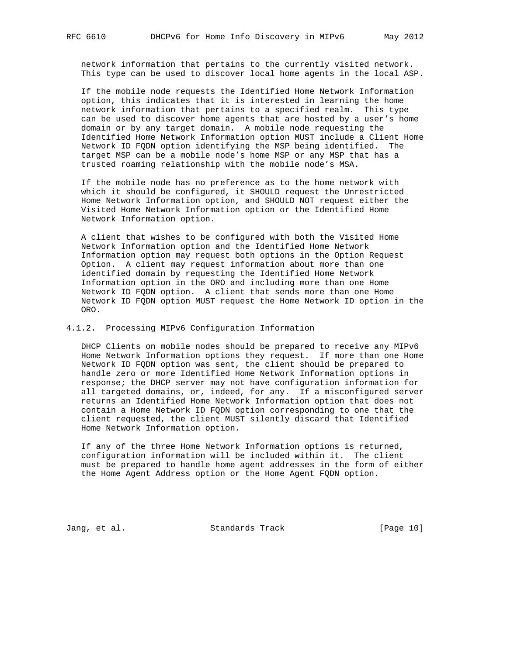network information that pertains to the currently visited network. This type can be used to discover local home agents in the local ASP.

 If the mobile node requests the Identified Home Network Information option, this indicates that it is interested in learning the home network information that pertains to a specified realm. This type can be used to discover home agents that are hosted by a user's home domain or by any target domain. A mobile node requesting the Identified Home Network Information option MUST include a Client Home Network ID FQDN option identifying the MSP being identified. The target MSP can be a mobile node's home MSP or any MSP that has a trusted roaming relationship with the mobile node's MSA.

 If the mobile node has no preference as to the home network with which it should be configured, it SHOULD request the Unrestricted Home Network Information option, and SHOULD NOT request either the Visited Home Network Information option or the Identified Home Network Information option.

 A client that wishes to be configured with both the Visited Home Network Information option and the Identified Home Network Information option may request both options in the Option Request Option. A client may request information about more than one identified domain by requesting the Identified Home Network Information option in the ORO and including more than one Home Network ID FQDN option. A client that sends more than one Home Network ID FQDN option MUST request the Home Network ID option in the ORO.

4.1.2. Processing MIPv6 Configuration Information

 DHCP Clients on mobile nodes should be prepared to receive any MIPv6 Home Network Information options they request. If more than one Home Network ID FQDN option was sent, the client should be prepared to handle zero or more Identified Home Network Information options in response; the DHCP server may not have configuration information for all targeted domains, or, indeed, for any. If a misconfigured server returns an Identified Home Network Information option that does not contain a Home Network ID FQDN option corresponding to one that the client requested, the client MUST silently discard that Identified Home Network Information option.

 If any of the three Home Network Information options is returned, configuration information will be included within it. The client must be prepared to handle home agent addresses in the form of either the Home Agent Address option or the Home Agent FQDN option.

Jang, et al. Standards Track [Page 10]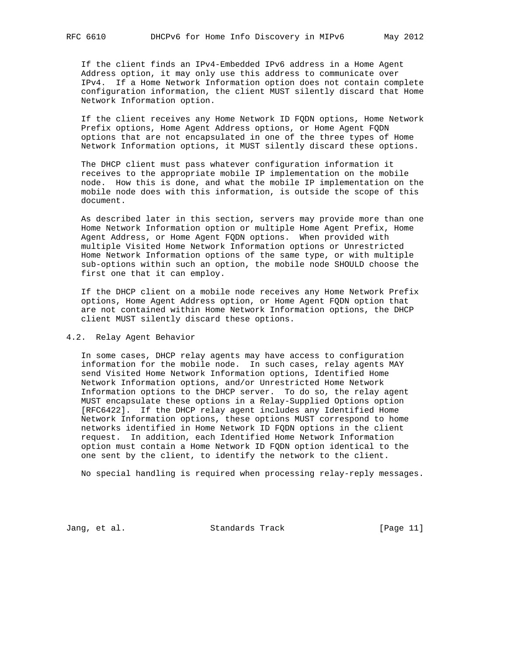If the client finds an IPv4-Embedded IPv6 address in a Home Agent Address option, it may only use this address to communicate over IPv4. If a Home Network Information option does not contain complete configuration information, the client MUST silently discard that Home Network Information option.

 If the client receives any Home Network ID FQDN options, Home Network Prefix options, Home Agent Address options, or Home Agent FQDN options that are not encapsulated in one of the three types of Home Network Information options, it MUST silently discard these options.

 The DHCP client must pass whatever configuration information it receives to the appropriate mobile IP implementation on the mobile node. How this is done, and what the mobile IP implementation on the mobile node does with this information, is outside the scope of this document.

 As described later in this section, servers may provide more than one Home Network Information option or multiple Home Agent Prefix, Home Agent Address, or Home Agent FQDN options. When provided with multiple Visited Home Network Information options or Unrestricted Home Network Information options of the same type, or with multiple sub-options within such an option, the mobile node SHOULD choose the first one that it can employ.

 If the DHCP client on a mobile node receives any Home Network Prefix options, Home Agent Address option, or Home Agent FQDN option that are not contained within Home Network Information options, the DHCP client MUST silently discard these options.

### 4.2. Relay Agent Behavior

 In some cases, DHCP relay agents may have access to configuration information for the mobile node. In such cases, relay agents MAY send Visited Home Network Information options, Identified Home Network Information options, and/or Unrestricted Home Network Information options to the DHCP server. To do so, the relay agent MUST encapsulate these options in a Relay-Supplied Options option [RFC6422]. If the DHCP relay agent includes any Identified Home Network Information options, these options MUST correspond to home networks identified in Home Network ID FQDN options in the client request. In addition, each Identified Home Network Information option must contain a Home Network ID FQDN option identical to the one sent by the client, to identify the network to the client.

No special handling is required when processing relay-reply messages.

Jang, et al. Standards Track [Page 11]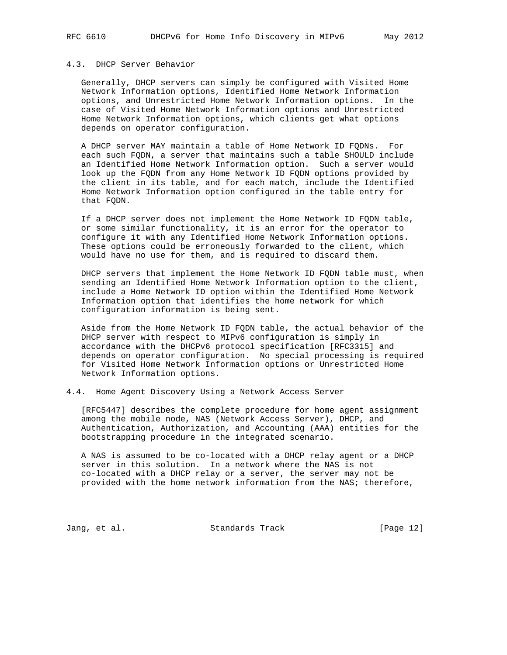## 4.3. DHCP Server Behavior

 Generally, DHCP servers can simply be configured with Visited Home Network Information options, Identified Home Network Information options, and Unrestricted Home Network Information options. In the case of Visited Home Network Information options and Unrestricted Home Network Information options, which clients get what options depends on operator configuration.

 A DHCP server MAY maintain a table of Home Network ID FQDNs. For each such FQDN, a server that maintains such a table SHOULD include an Identified Home Network Information option. Such a server would look up the FQDN from any Home Network ID FQDN options provided by the client in its table, and for each match, include the Identified Home Network Information option configured in the table entry for that FQDN.

 If a DHCP server does not implement the Home Network ID FQDN table, or some similar functionality, it is an error for the operator to configure it with any Identified Home Network Information options. These options could be erroneously forwarded to the client, which would have no use for them, and is required to discard them.

 DHCP servers that implement the Home Network ID FQDN table must, when sending an Identified Home Network Information option to the client, include a Home Network ID option within the Identified Home Network Information option that identifies the home network for which configuration information is being sent.

 Aside from the Home Network ID FQDN table, the actual behavior of the DHCP server with respect to MIPv6 configuration is simply in accordance with the DHCPv6 protocol specification [RFC3315] and depends on operator configuration. No special processing is required for Visited Home Network Information options or Unrestricted Home Network Information options.

4.4. Home Agent Discovery Using a Network Access Server

 [RFC5447] describes the complete procedure for home agent assignment among the mobile node, NAS (Network Access Server), DHCP, and Authentication, Authorization, and Accounting (AAA) entities for the bootstrapping procedure in the integrated scenario.

 A NAS is assumed to be co-located with a DHCP relay agent or a DHCP server in this solution. In a network where the NAS is not co-located with a DHCP relay or a server, the server may not be provided with the home network information from the NAS; therefore,

Jang, et al. Standards Track [Page 12]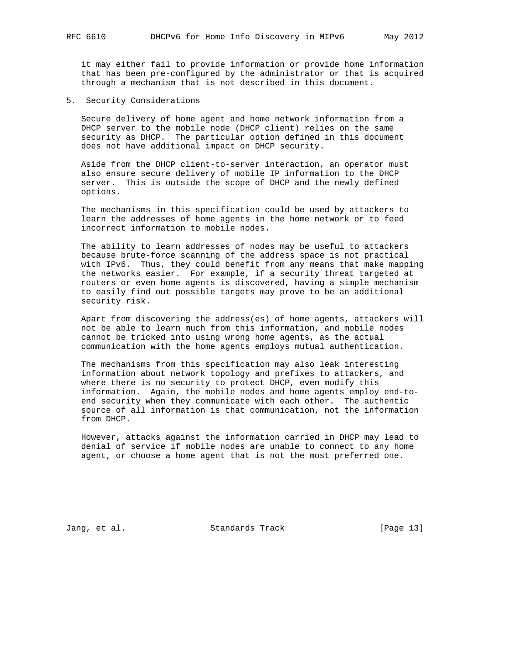it may either fail to provide information or provide home information that has been pre-configured by the administrator or that is acquired through a mechanism that is not described in this document.

5. Security Considerations

 Secure delivery of home agent and home network information from a DHCP server to the mobile node (DHCP client) relies on the same security as DHCP. The particular option defined in this document does not have additional impact on DHCP security.

 Aside from the DHCP client-to-server interaction, an operator must also ensure secure delivery of mobile IP information to the DHCP server. This is outside the scope of DHCP and the newly defined options.

 The mechanisms in this specification could be used by attackers to learn the addresses of home agents in the home network or to feed incorrect information to mobile nodes.

 The ability to learn addresses of nodes may be useful to attackers because brute-force scanning of the address space is not practical with IPv6. Thus, they could benefit from any means that make mapping the networks easier. For example, if a security threat targeted at routers or even home agents is discovered, having a simple mechanism to easily find out possible targets may prove to be an additional security risk.

 Apart from discovering the address(es) of home agents, attackers will not be able to learn much from this information, and mobile nodes cannot be tricked into using wrong home agents, as the actual communication with the home agents employs mutual authentication.

 The mechanisms from this specification may also leak interesting information about network topology and prefixes to attackers, and where there is no security to protect DHCP, even modify this information. Again, the mobile nodes and home agents employ end-to end security when they communicate with each other. The authentic source of all information is that communication, not the information from DHCP.

 However, attacks against the information carried in DHCP may lead to denial of service if mobile nodes are unable to connect to any home agent, or choose a home agent that is not the most preferred one.

Jang, et al. Standards Track [Page 13]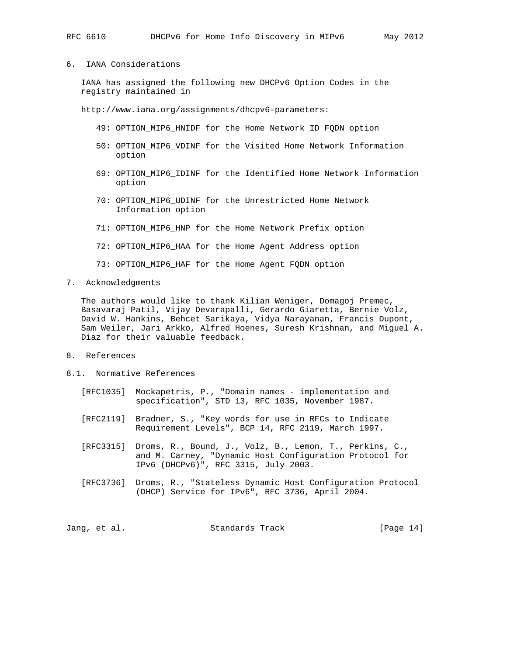6. IANA Considerations

 IANA has assigned the following new DHCPv6 Option Codes in the registry maintained in

http://www.iana.org/assignments/dhcpv6-parameters:

- 49: OPTION\_MIP6\_HNIDF for the Home Network ID FQDN option
- 50: OPTION\_MIP6\_VDINF for the Visited Home Network Information option
- 69: OPTION\_MIP6\_IDINF for the Identified Home Network Information option
- 70: OPTION\_MIP6\_UDINF for the Unrestricted Home Network Information option
- 71: OPTION\_MIP6\_HNP for the Home Network Prefix option
- 72: OPTION\_MIP6\_HAA for the Home Agent Address option
- 73: OPTION\_MIP6\_HAF for the Home Agent FQDN option
- 7. Acknowledgments

 The authors would like to thank Kilian Weniger, Domagoj Premec, Basavaraj Patil, Vijay Devarapalli, Gerardo Giaretta, Bernie Volz, David W. Hankins, Behcet Sarikaya, Vidya Narayanan, Francis Dupont, Sam Weiler, Jari Arkko, Alfred Hoenes, Suresh Krishnan, and Miguel A. Diaz for their valuable feedback.

- 8. References
- 8.1. Normative References
	- [RFC1035] Mockapetris, P., "Domain names implementation and specification", STD 13, RFC 1035, November 1987.
	- [RFC2119] Bradner, S., "Key words for use in RFCs to Indicate Requirement Levels", BCP 14, RFC 2119, March 1997.
	- [RFC3315] Droms, R., Bound, J., Volz, B., Lemon, T., Perkins, C., and M. Carney, "Dynamic Host Configuration Protocol for IPv6 (DHCPv6)", RFC 3315, July 2003.
	- [RFC3736] Droms, R., "Stateless Dynamic Host Configuration Protocol (DHCP) Service for IPv6", RFC 3736, April 2004.

|  | Jang, et al. | Standards Track | [Page $14$ ] |
|--|--------------|-----------------|--------------|
|--|--------------|-----------------|--------------|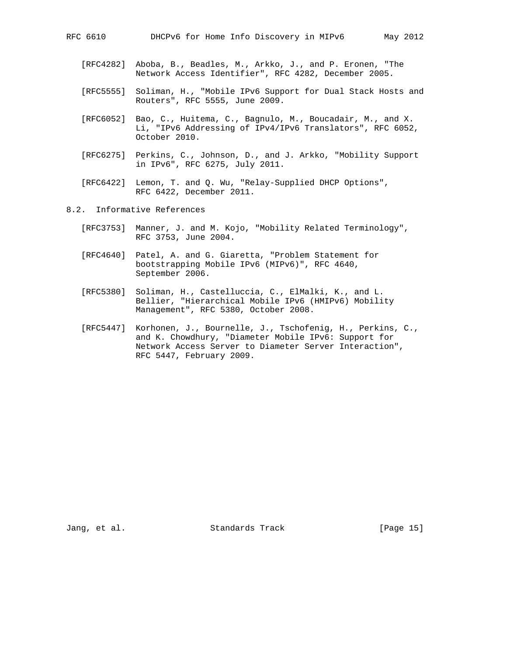- [RFC4282] Aboba, B., Beadles, M., Arkko, J., and P. Eronen, "The Network Access Identifier", RFC 4282, December 2005.
- [RFC5555] Soliman, H., "Mobile IPv6 Support for Dual Stack Hosts and Routers", RFC 5555, June 2009.
- [RFC6052] Bao, C., Huitema, C., Bagnulo, M., Boucadair, M., and X. Li, "IPv6 Addressing of IPv4/IPv6 Translators", RFC 6052, October 2010.
- [RFC6275] Perkins, C., Johnson, D., and J. Arkko, "Mobility Support in IPv6", RFC 6275, July 2011.
- [RFC6422] Lemon, T. and Q. Wu, "Relay-Supplied DHCP Options", RFC 6422, December 2011.
- 8.2. Informative References
	- [RFC3753] Manner, J. and M. Kojo, "Mobility Related Terminology", RFC 3753, June 2004.
	- [RFC4640] Patel, A. and G. Giaretta, "Problem Statement for bootstrapping Mobile IPv6 (MIPv6)", RFC 4640, September 2006.
	- [RFC5380] Soliman, H., Castelluccia, C., ElMalki, K., and L. Bellier, "Hierarchical Mobile IPv6 (HMIPv6) Mobility Management", RFC 5380, October 2008.
	- [RFC5447] Korhonen, J., Bournelle, J., Tschofenig, H., Perkins, C., and K. Chowdhury, "Diameter Mobile IPv6: Support for Network Access Server to Diameter Server Interaction", RFC 5447, February 2009.

Jang, et al. Standards Track [Page 15]